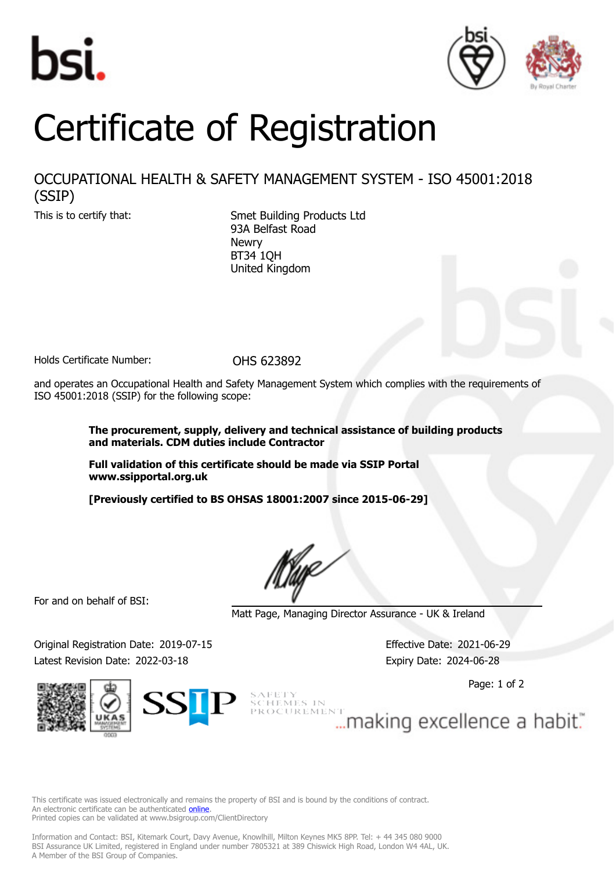



## Certificate of Registration

## OCCUPATIONAL HEALTH & SAFETY MANAGEMENT SYSTEM - ISO 45001:2018 (SSIP)

This is to certify that: Smet Building Products Ltd 93A Belfast Road Newry BT34 1QH United Kingdom

Holds Certificate Number: 0HS 623892

and operates an Occupational Health and Safety Management System which complies with the requirements of ISO 45001:2018 (SSIP) for the following scope:

> **The procurement, supply, delivery and technical assistance of building products and materials. CDM duties include Contractor**

**Full validation of this certificate should be made via SSIP Portal www.ssipportal.org.uk**

**[Previously certified to BS OHSAS 18001:2007 since 2015-06-29]**

For and on behalf of BSI:

Matt Page, Managing Director Assurance - UK & Ireland

Original Registration Date: 2019-07-15 Effective Date: 2021-06-29 Latest Revision Date: 2022-03-18 Expiry Date: 2024-06-28



 $\text{Spec 1 of 2}$ 

This certificate was issued electronically and remains the property of BSI and is bound by the conditions of contract. An electronic certificate can be authenticated **[online](https://pgplus.bsigroup.com/CertificateValidation/CertificateValidator.aspx?CertificateNumber=OHS+623892&ReIssueDate=18%2f03%2f2022&Template=uk)** Printed copies can be validated at www.bsigroup.com/ClientDirectory

Information and Contact: BSI, Kitemark Court, Davy Avenue, Knowlhill, Milton Keynes MK5 8PP. Tel: + 44 345 080 9000 BSI Assurance UK Limited, registered in England under number 7805321 at 389 Chiswick High Road, London W4 4AL, UK. A Member of the BSI Group of Companies.